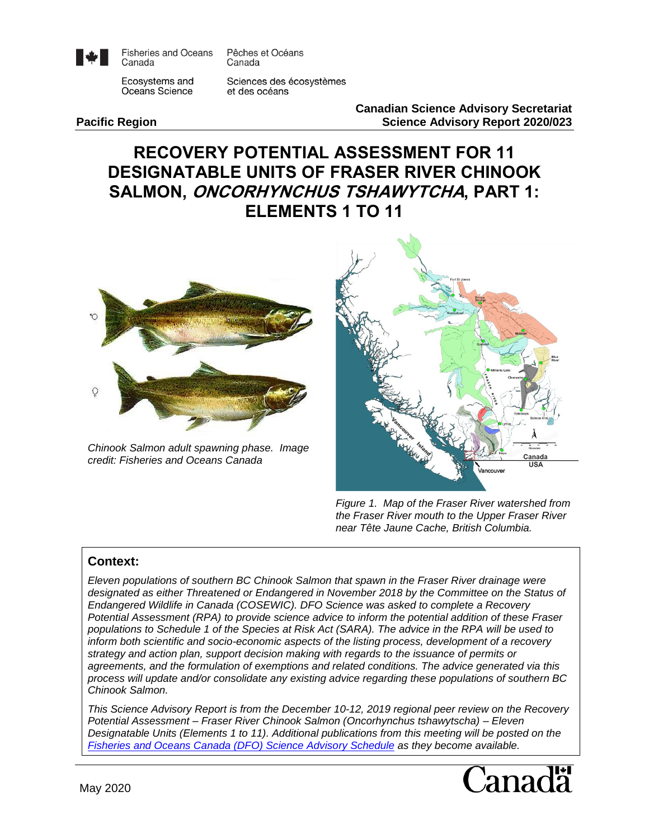

**Fisheries and Oceans** Canada

Pêches et Océans Canada

Ecosystems and Oceans Science

Sciences des écosystèmes et des océans

**Canadian Science Advisory Secretariat Pacific Region Science Advisory Report 2020/023**

# **RECOVERY POTENTIAL ASSESSMENT FOR 11 DESIGNATABLE UNITS OF FRASER RIVER CHINOOK SALMON, ONCORHYNCHUS TSHAWYTCHA, PART 1: ELEMENTS 1 TO 11**



*Chinook Salmon adult spawning phase. Image credit: Fisheries and Oceans Canada*



*Figure 1. Map of the Fraser River watershed from the Fraser River mouth to the Upper Fraser River near Tête Jaune Cache, British Columbia.*

#### **Context:**

*Eleven populations of southern BC Chinook Salmon that spawn in the Fraser River drainage were designated as either Threatened or Endangered in November 2018 by the Committee on the Status of Endangered Wildlife in Canada (COSEWIC). DFO Science was asked to complete a Recovery Potential Assessment (RPA) to provide science advice to inform the potential addition of these Fraser populations to Schedule 1 of the Species at Risk Act (SARA). The advice in the RPA will be used to inform both scientific and socio-economic aspects of the listing process, development of a recovery strategy and action plan, support decision making with regards to the issuance of permits or agreements, and the formulation of exemptions and related conditions. The advice generated via this process will update and/or consolidate any existing advice regarding these populations of southern BC Chinook Salmon.*

*This Science Advisory Report is from the December 10-12, 2019 regional peer review on the Recovery Potential Assessment – Fraser River Chinook Salmon (Oncorhynchus tshawytscha) – Eleven Designatable Units (Elements 1 to 11). Additional publications from this meeting will be posted on the [Fisheries and Oceans Canada \(DFO\) Science Advisory Schedule](http://www.isdm-gdsi.gc.ca/csas-sccs/applications/events-evenements/index-eng.asp) as they become available.*

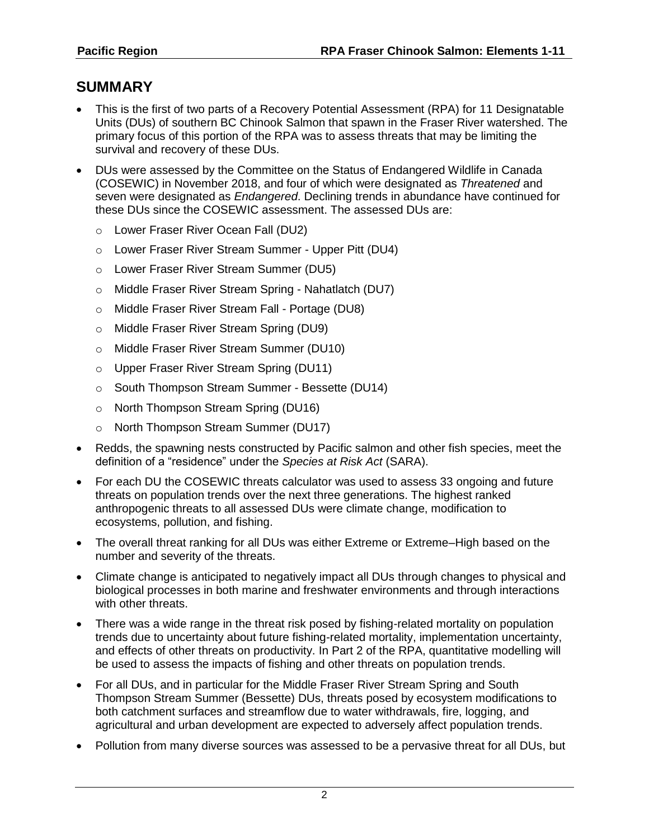# **SUMMARY**

- This is the first of two parts of a Recovery Potential Assessment (RPA) for 11 Designatable Units (DUs) of southern BC Chinook Salmon that spawn in the Fraser River watershed. The primary focus of this portion of the RPA was to assess threats that may be limiting the survival and recovery of these DUs.
- DUs were assessed by the Committee on the Status of Endangered Wildlife in Canada (COSEWIC) in November 2018, and four of which were designated as *Threatened* and seven were designated as *Endangered*. Declining trends in abundance have continued for these DUs since the COSEWIC assessment. The assessed DUs are:
	- o Lower Fraser River Ocean Fall (DU2)
	- o Lower Fraser River Stream Summer Upper Pitt (DU4)
	- o Lower Fraser River Stream Summer (DU5)
	- o Middle Fraser River Stream Spring Nahatlatch (DU7)
	- o Middle Fraser River Stream Fall Portage (DU8)
	- o Middle Fraser River Stream Spring (DU9)
	- o Middle Fraser River Stream Summer (DU10)
	- o Upper Fraser River Stream Spring (DU11)
	- o South Thompson Stream Summer Bessette (DU14)
	- o North Thompson Stream Spring (DU16)
	- o North Thompson Stream Summer (DU17)
- Redds, the spawning nests constructed by Pacific salmon and other fish species, meet the definition of a "residence" under the *Species at Risk Act* (SARA).
- For each DU the COSEWIC threats calculator was used to assess 33 ongoing and future threats on population trends over the next three generations. The highest ranked anthropogenic threats to all assessed DUs were climate change, modification to ecosystems, pollution, and fishing.
- The overall threat ranking for all DUs was either Extreme or Extreme–High based on the number and severity of the threats.
- Climate change is anticipated to negatively impact all DUs through changes to physical and biological processes in both marine and freshwater environments and through interactions with other threats.
- There was a wide range in the threat risk posed by fishing-related mortality on population trends due to uncertainty about future fishing-related mortality, implementation uncertainty, and effects of other threats on productivity. In Part 2 of the RPA, quantitative modelling will be used to assess the impacts of fishing and other threats on population trends.
- For all DUs, and in particular for the Middle Fraser River Stream Spring and South Thompson Stream Summer (Bessette) DUs, threats posed by ecosystem modifications to both catchment surfaces and streamflow due to water withdrawals, fire, logging, and agricultural and urban development are expected to adversely affect population trends.
- Pollution from many diverse sources was assessed to be a pervasive threat for all DUs, but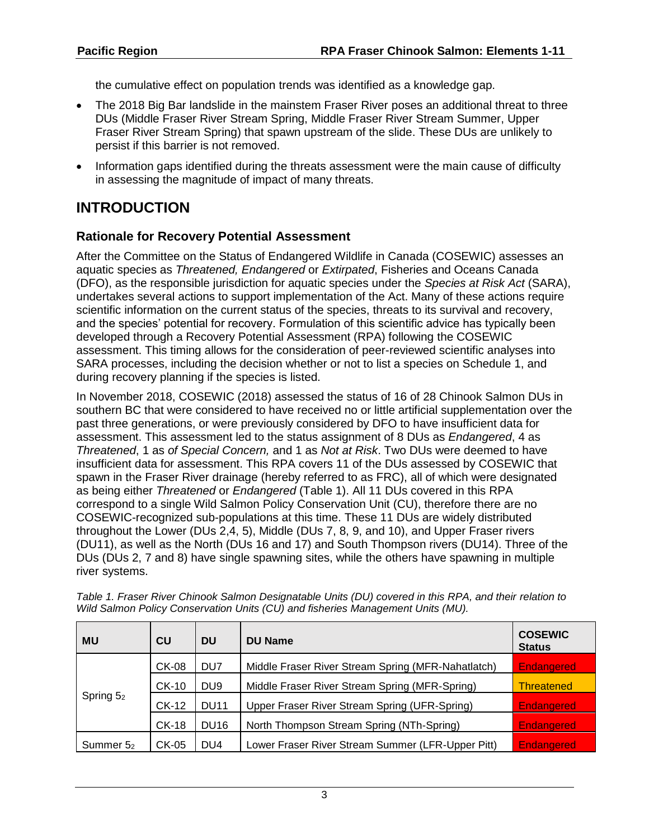the cumulative effect on population trends was identified as a knowledge gap.

- The 2018 Big Bar landslide in the mainstem Fraser River poses an additional threat to three DUs (Middle Fraser River Stream Spring, Middle Fraser River Stream Summer, Upper Fraser River Stream Spring) that spawn upstream of the slide. These DUs are unlikely to persist if this barrier is not removed.
- Information gaps identified during the threats assessment were the main cause of difficulty in assessing the magnitude of impact of many threats.

# **INTRODUCTION**

### **Rationale for Recovery Potential Assessment**

After the Committee on the Status of Endangered Wildlife in Canada (COSEWIC) assesses an aquatic species as *Threatened, Endangered* or *Extirpated*, Fisheries and Oceans Canada (DFO), as the responsible jurisdiction for aquatic species under the *Species at Risk Act* (SARA), undertakes several actions to support implementation of the Act. Many of these actions require scientific information on the current status of the species, threats to its survival and recovery, and the species' potential for recovery. Formulation of this scientific advice has typically been developed through a Recovery Potential Assessment (RPA) following the COSEWIC assessment. This timing allows for the consideration of peer-reviewed scientific analyses into SARA processes, including the decision whether or not to list a species on Schedule 1, and during recovery planning if the species is listed.

In November 2018, COSEWIC (2018) assessed the status of 16 of 28 Chinook Salmon DUs in southern BC that were considered to have received no or little artificial supplementation over the past three generations, or were previously considered by DFO to have insufficient data for assessment. This assessment led to the status assignment of 8 DUs as *Endangered*, 4 as *Threatened*, 1 as *of Special Concern,* and 1 as *Not at Risk*. Two DUs were deemed to have insufficient data for assessment. This RPA covers 11 of the DUs assessed by COSEWIC that spawn in the Fraser River drainage (hereby referred to as FRC), all of which were designated as being either *Threatened* or *Endangered* (Table 1). All 11 DUs covered in this RPA correspond to a single Wild Salmon Policy Conservation Unit (CU), therefore there are no COSEWIC-recognized sub-populations at this time. These 11 DUs are widely distributed throughout the Lower (DUs 2,4, 5), Middle (DUs 7, 8, 9, and 10), and Upper Fraser rivers (DU11), as well as the North (DUs 16 and 17) and South Thompson rivers (DU14). Three of the DUs (DUs 2, 7 and 8) have single spawning sites, while the others have spawning in multiple river systems.

| <b>MU</b>   | CU           | <b>DU</b>       | <b>DU Name</b>                                     | <b>COSEWIC</b><br><b>Status</b> |
|-------------|--------------|-----------------|----------------------------------------------------|---------------------------------|
|             | <b>CK-08</b> | DU7             | Middle Fraser River Stream Spring (MFR-Nahatlatch) | <b>Endangered</b>               |
| Spring $52$ | <b>CK-10</b> | DU <sub>9</sub> | Middle Fraser River Stream Spring (MFR-Spring)     | <b>Threatened</b>               |
|             | <b>CK-12</b> | <b>DU11</b>     | Upper Fraser River Stream Spring (UFR-Spring)      | <b>Endangered</b>               |
|             | <b>CK-18</b> | <b>DU16</b>     | North Thompson Stream Spring (NTh-Spring)          | <b>Endangered</b>               |
| Summer 52   | CK-05        | DU <sub>4</sub> | Lower Fraser River Stream Summer (LFR-Upper Pitt)  | <b>Endangered</b>               |

*Table 1. Fraser River Chinook Salmon Designatable Units (DU) covered in this RPA, and their relation to Wild Salmon Policy Conservation Units (CU) and fisheries Management Units (MU).*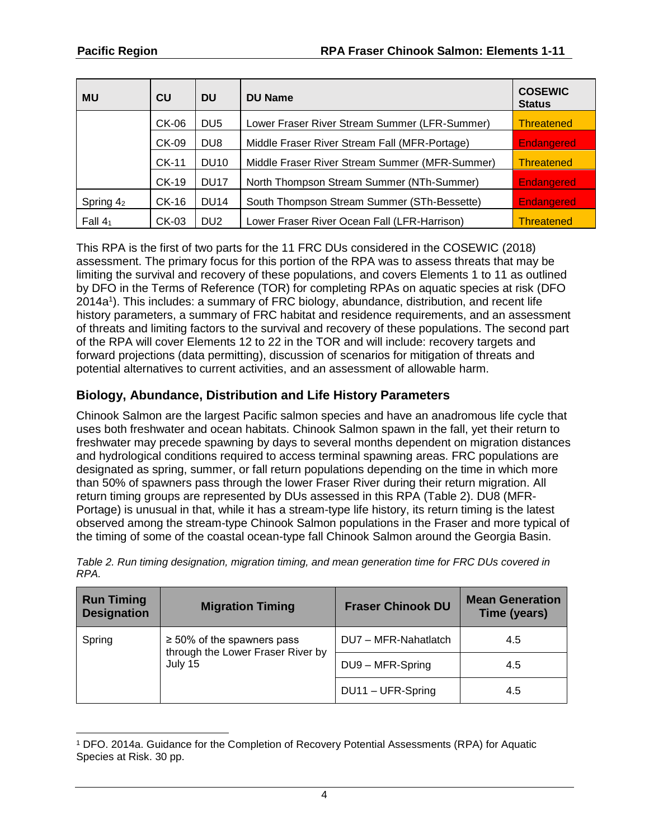| <b>MU</b> | CU           | <b>DU</b>        | <b>DU Name</b>                                 | <b>COSEWIC</b><br><b>Status</b> |
|-----------|--------------|------------------|------------------------------------------------|---------------------------------|
|           | CK-06        | DU <sub>5</sub>  | Lower Fraser River Stream Summer (LFR-Summer)  | <b>Threatened</b>               |
|           | CK-09        | DU8              | Middle Fraser River Stream Fall (MFR-Portage)  | <b>Endangered</b>               |
|           | CK-11        | <b>DU10</b>      | Middle Fraser River Stream Summer (MFR-Summer) | <b>Threatened</b>               |
|           | <b>CK-19</b> | DU <sub>17</sub> | North Thompson Stream Summer (NTh-Summer)      | Endangered                      |
| Spring 42 | CK-16        | <b>DU14</b>      | South Thompson Stream Summer (STh-Bessette)    | Endangered                      |
| Fall $41$ | CK-03        | DU <sub>2</sub>  | Lower Fraser River Ocean Fall (LFR-Harrison)   | <b>Threatened</b>               |

<span id="page-3-0"></span>This RPA is the first of two parts for the 11 FRC DUs considered in the COSEWIC (2018) assessment. The primary focus for this portion of the RPA was to assess threats that may be limiting the survival and recovery of these populations, and covers Elements 1 to 11 as outlined by DFO in the Terms of Reference (TOR) for completing RPAs on aquatic species at risk (DFO 2014a 1 ). This includes: a summary of FRC biology, abundance, distribution, and recent life history parameters, a summary of FRC habitat and residence requirements, and an assessment of threats and limiting factors to the survival and recovery of these populations. The second part of the RPA will cover Elements 12 to 22 in the TOR and will include: recovery targets and forward projections (data permitting), discussion of scenarios for mitigation of threats and potential alternatives to current activities, and an assessment of allowable harm.

## **Biology, Abundance, Distribution and Life History Parameters**

Chinook Salmon are the largest Pacific salmon species and have an anadromous life cycle that uses both freshwater and ocean habitats. Chinook Salmon spawn in the fall, yet their return to freshwater may precede spawning by days to several months dependent on migration distances and hydrological conditions required to access terminal spawning areas. FRC populations are designated as spring, summer, or fall return populations depending on the time in which more than 50% of spawners pass through the lower Fraser River during their return migration. All return timing groups are represented by DUs assessed in this RPA (Table 2). DU8 (MFR-Portage) is unusual in that, while it has a stream-type life history, its return timing is the latest observed among the stream-type Chinook Salmon populations in the Fraser and more typical of the timing of some of the coastal ocean-type fall Chinook Salmon around the Georgia Basin.

| <b>Run Timing</b><br><b>Designation</b> | <b>Migration Timing</b>                                              | <b>Fraser Chinook DU</b> | <b>Mean Generation</b><br>Time (years) |
|-----------------------------------------|----------------------------------------------------------------------|--------------------------|----------------------------------------|
| Spring                                  | $\geq$ 50% of the spawners pass<br>through the Lower Fraser River by | DU7 - MFR-Nahatlatch     | 4.5                                    |
|                                         | July 15                                                              | DU9 - MFR-Spring         | 4.5                                    |
|                                         |                                                                      | DU11 - UFR-Spring        | 4.5                                    |

*Table 2. Run timing designation, migration timing, and mean generation time for FRC DUs covered in RPA.*

<sup>1</sup> DFO. 2014a. Guidance for the Completion of Recovery Potential Assessments (RPA) for Aquatic Species at Risk. 30 pp.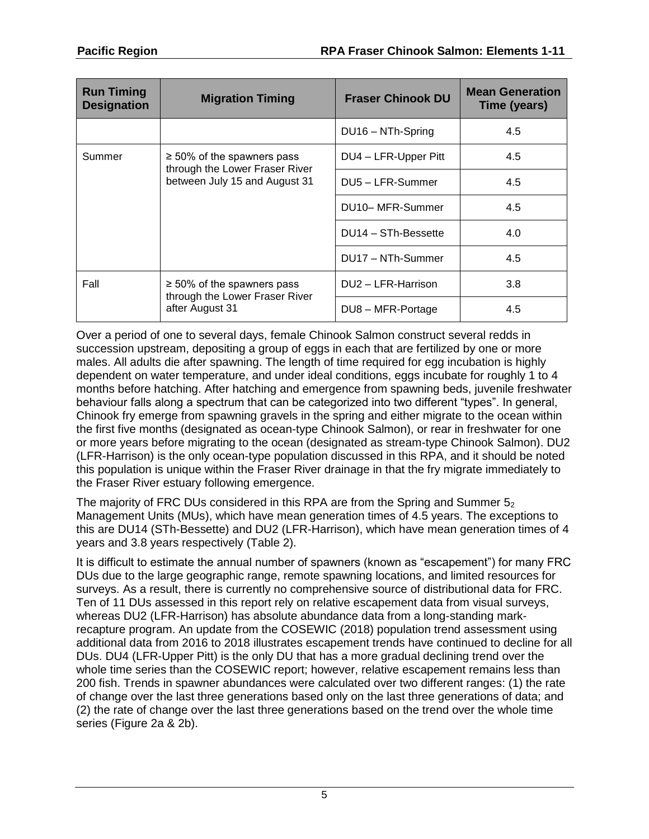| <b>Run Timing</b><br><b>Designation</b> | <b>Migration Timing</b>                                           | <b>Fraser Chinook DU</b> | <b>Mean Generation</b><br>Time (years) |
|-----------------------------------------|-------------------------------------------------------------------|--------------------------|----------------------------------------|
|                                         |                                                                   | DU16 - NTh-Spring        | 4.5                                    |
| Summer                                  | $\geq$ 50% of the spawners pass<br>through the Lower Fraser River | DU4 - LFR-Upper Pitt     | 4.5                                    |
|                                         | between July 15 and August 31                                     | DU5 - LFR-Summer         | 4.5                                    |
|                                         |                                                                   | DU10-MFR-Summer          | 4.5                                    |
|                                         |                                                                   | DU14 - STh-Bessette      | 4.0                                    |
|                                         |                                                                   | DU17 - NTh-Summer        | 4.5                                    |
| Fall                                    | $\geq 50\%$ of the spawners pass                                  | DU2 - LFR-Harrison       | 3.8                                    |
|                                         | through the Lower Fraser River<br>after August 31                 | DU8 - MFR-Portage        | 4.5                                    |

Over a period of one to several days, female Chinook Salmon construct several redds in succession upstream, depositing a group of eggs in each that are fertilized by one or more males. All adults die after spawning. The length of time required for egg incubation is highly dependent on water temperature, and under ideal conditions, eggs incubate for roughly 1 to 4 months before hatching. After hatching and emergence from spawning beds, juvenile freshwater behaviour falls along a spectrum that can be categorized into two different "types". In general, Chinook fry emerge from spawning gravels in the spring and either migrate to the ocean within the first five months (designated as ocean-type Chinook Salmon), or rear in freshwater for one or more years before migrating to the ocean (designated as stream-type Chinook Salmon). DU2 (LFR-Harrison) is the only ocean-type population discussed in this RPA, and it should be noted this population is unique within the Fraser River drainage in that the fry migrate immediately to the Fraser River estuary following emergence.

The majority of FRC DUs considered in this RPA are from the Spring and Summer  $5<sub>2</sub>$ Management Units (MUs), which have mean generation times of 4.5 years. The exceptions to this are DU14 (STh-Bessette) and DU2 (LFR-Harrison), which have mean generation times of 4 years and 3.8 years respectively (Table 2).

It is difficult to estimate the annual number of spawners (known as "escapement") for many FRC DUs due to the large geographic range, remote spawning locations, and limited resources for surveys. As a result, there is currently no comprehensive source of distributional data for FRC. Ten of 11 DUs assessed in this report rely on relative escapement data from visual surveys, whereas DU2 (LFR-Harrison) has absolute abundance data from a long-standing markrecapture program. An update from the COSEWIC (2018) population trend assessment using additional data from 2016 to 2018 illustrates escapement trends have continued to decline for all DUs. DU4 (LFR-Upper Pitt) is the only DU that has a more gradual declining trend over the whole time series than the COSEWIC report; however, relative escapement remains less than 200 fish. Trends in spawner abundances were calculated over two different ranges: (1) the rate of change over the last three generations based only on the last three generations of data; and (2) the rate of change over the last three generations based on the trend over the whole time series (Figure 2a & 2b).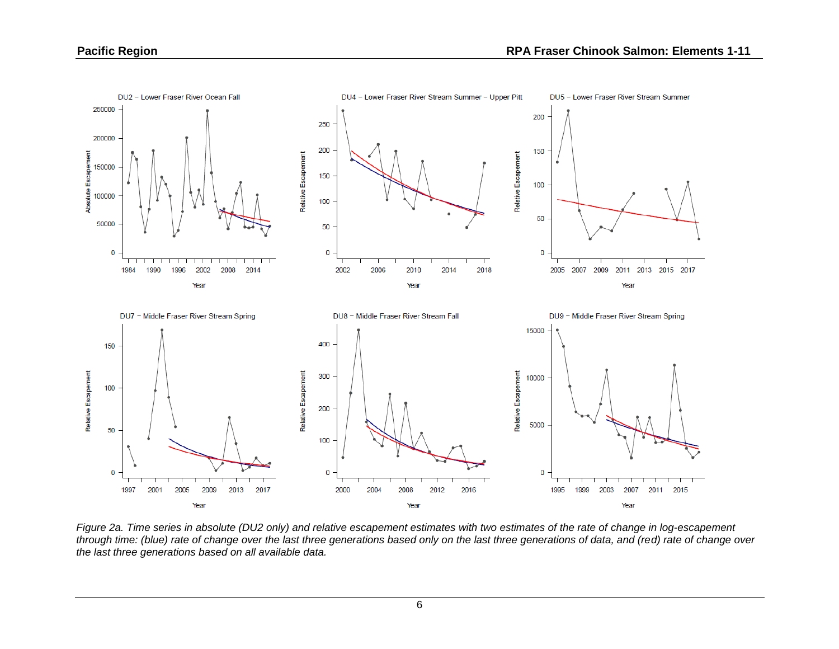

*Figure 2a. Time series in absolute (DU2 only) and relative escapement estimates with two estimates of the rate of change in log-escapement through time: (blue) rate of change over the last three generations based only on the last three generations of data, and (red) rate of change over the last three generations based on all available data.*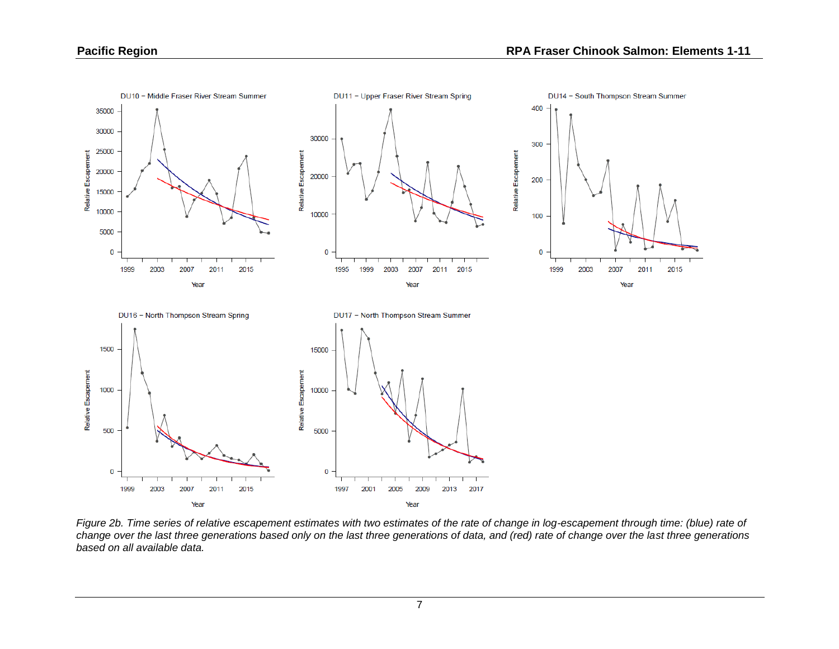

*Figure 2b. Time series of relative escapement estimates with two estimates of the rate of change in log-escapement through time: (blue) rate of change over the last three generations based only on the last three generations of data, and (red) rate of change over the last three generations based on all available data.*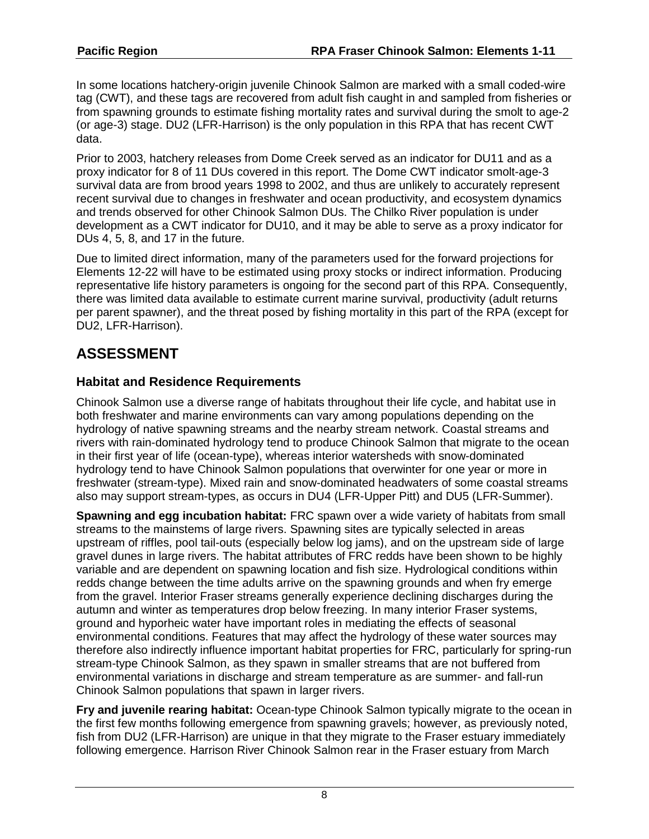In some locations hatchery-origin juvenile Chinook Salmon are marked with a small coded-wire tag (CWT), and these tags are recovered from adult fish caught in and sampled from fisheries or from spawning grounds to estimate fishing mortality rates and survival during the smolt to age-2 (or age-3) stage. DU2 (LFR-Harrison) is the only population in this RPA that has recent CWT data.

Prior to 2003, hatchery releases from Dome Creek served as an indicator for DU11 and as a proxy indicator for 8 of 11 DUs covered in this report. The Dome CWT indicator smolt-age-3 survival data are from brood years 1998 to 2002, and thus are unlikely to accurately represent recent survival due to changes in freshwater and ocean productivity, and ecosystem dynamics and trends observed for other Chinook Salmon DUs. The Chilko River population is under development as a CWT indicator for DU10, and it may be able to serve as a proxy indicator for DUs 4, 5, 8, and 17 in the future.

Due to limited direct information, many of the parameters used for the forward projections for Elements 12-22 will have to be estimated using proxy stocks or indirect information. Producing representative life history parameters is ongoing for the second part of this RPA. Consequently, there was limited data available to estimate current marine survival, productivity (adult returns per parent spawner), and the threat posed by fishing mortality in this part of the RPA (except for DU2, LFR-Harrison).

# **ASSESSMENT**

## **Habitat and Residence Requirements**

Chinook Salmon use a diverse range of habitats throughout their life cycle, and habitat use in both freshwater and marine environments can vary among populations depending on the hydrology of native spawning streams and the nearby stream network. Coastal streams and rivers with rain-dominated hydrology tend to produce Chinook Salmon that migrate to the ocean in their first year of life (ocean-type), whereas interior watersheds with snow-dominated hydrology tend to have Chinook Salmon populations that overwinter for one year or more in freshwater (stream-type). Mixed rain and snow-dominated headwaters of some coastal streams also may support stream-types, as occurs in DU4 (LFR-Upper Pitt) and DU5 (LFR-Summer).

**Spawning and egg incubation habitat:** FRC spawn over a wide variety of habitats from small streams to the mainstems of large rivers. Spawning sites are typically selected in areas upstream of riffles, pool tail-outs (especially below log jams), and on the upstream side of large gravel dunes in large rivers. The habitat attributes of FRC redds have been shown to be highly variable and are dependent on spawning location and fish size. Hydrological conditions within redds change between the time adults arrive on the spawning grounds and when fry emerge from the gravel. Interior Fraser streams generally experience declining discharges during the autumn and winter as temperatures drop below freezing. In many interior Fraser systems, ground and hyporheic water have important roles in mediating the effects of seasonal environmental conditions. Features that may affect the hydrology of these water sources may therefore also indirectly influence important habitat properties for FRC, particularly for spring-run stream-type Chinook Salmon, as they spawn in smaller streams that are not buffered from environmental variations in discharge and stream temperature as are summer- and fall-run Chinook Salmon populations that spawn in larger rivers.

**Fry and juvenile rearing habitat:** Ocean-type Chinook Salmon typically migrate to the ocean in the first few months following emergence from spawning gravels; however, as previously noted, fish from DU2 (LFR-Harrison) are unique in that they migrate to the Fraser estuary immediately following emergence. Harrison River Chinook Salmon rear in the Fraser estuary from March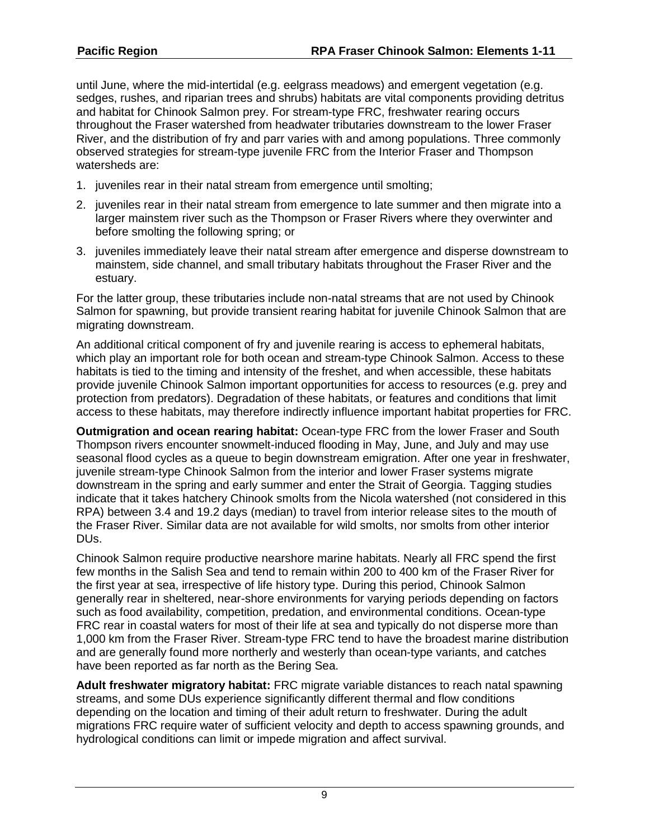until June, where the mid-intertidal (e.g. eelgrass meadows) and emergent vegetation (e.g. sedges, rushes, and riparian trees and shrubs) habitats are vital components providing detritus and habitat for Chinook Salmon prey. For stream-type FRC, freshwater rearing occurs throughout the Fraser watershed from headwater tributaries downstream to the lower Fraser River, and the distribution of fry and parr varies with and among populations. Three commonly observed strategies for stream-type juvenile FRC from the Interior Fraser and Thompson watersheds are:

- 1. juveniles rear in their natal stream from emergence until smolting;
- 2. juveniles rear in their natal stream from emergence to late summer and then migrate into a larger mainstem river such as the Thompson or Fraser Rivers where they overwinter and before smolting the following spring; or
- 3. juveniles immediately leave their natal stream after emergence and disperse downstream to mainstem, side channel, and small tributary habitats throughout the Fraser River and the estuary.

For the latter group, these tributaries include non-natal streams that are not used by Chinook Salmon for spawning, but provide transient rearing habitat for juvenile Chinook Salmon that are migrating downstream.

An additional critical component of fry and juvenile rearing is access to ephemeral habitats, which play an important role for both ocean and stream-type Chinook Salmon. Access to these habitats is tied to the timing and intensity of the freshet, and when accessible, these habitats provide juvenile Chinook Salmon important opportunities for access to resources (e.g. prey and protection from predators). Degradation of these habitats, or features and conditions that limit access to these habitats, may therefore indirectly influence important habitat properties for FRC.

**Outmigration and ocean rearing habitat:** Ocean-type FRC from the lower Fraser and South Thompson rivers encounter snowmelt-induced flooding in May, June, and July and may use seasonal flood cycles as a queue to begin downstream emigration. After one year in freshwater, juvenile stream-type Chinook Salmon from the interior and lower Fraser systems migrate downstream in the spring and early summer and enter the Strait of Georgia. Tagging studies indicate that it takes hatchery Chinook smolts from the Nicola watershed (not considered in this RPA) between 3.4 and 19.2 days (median) to travel from interior release sites to the mouth of the Fraser River. Similar data are not available for wild smolts, nor smolts from other interior DUs.

Chinook Salmon require productive nearshore marine habitats. Nearly all FRC spend the first few months in the Salish Sea and tend to remain within 200 to 400 km of the Fraser River for the first year at sea, irrespective of life history type. During this period, Chinook Salmon generally rear in sheltered, near-shore environments for varying periods depending on factors such as food availability, competition, predation, and environmental conditions. Ocean-type FRC rear in coastal waters for most of their life at sea and typically do not disperse more than 1,000 km from the Fraser River. Stream-type FRC tend to have the broadest marine distribution and are generally found more northerly and westerly than ocean-type variants, and catches have been reported as far north as the Bering Sea.

**Adult freshwater migratory habitat:** FRC migrate variable distances to reach natal spawning streams, and some DUs experience significantly different thermal and flow conditions depending on the location and timing of their adult return to freshwater. During the adult migrations FRC require water of sufficient velocity and depth to access spawning grounds, and hydrological conditions can limit or impede migration and affect survival.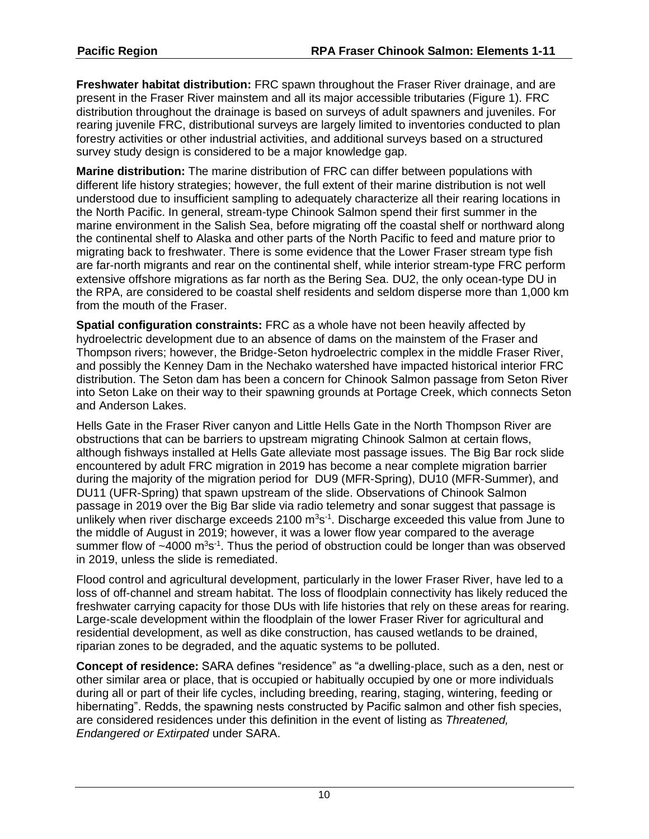**Freshwater habitat distribution:** FRC spawn throughout the Fraser River drainage, and are present in the Fraser River mainstem and all its major accessible tributaries (Figure 1). FRC distribution throughout the drainage is based on surveys of adult spawners and juveniles. For rearing juvenile FRC, distributional surveys are largely limited to inventories conducted to plan forestry activities or other industrial activities, and additional surveys based on a structured survey study design is considered to be a major knowledge gap.

**Marine distribution:** The marine distribution of FRC can differ between populations with different life history strategies; however, the full extent of their marine distribution is not well understood due to insufficient sampling to adequately characterize all their rearing locations in the North Pacific. In general, stream-type Chinook Salmon spend their first summer in the marine environment in the Salish Sea, before migrating off the coastal shelf or northward along the continental shelf to Alaska and other parts of the North Pacific to feed and mature prior to migrating back to freshwater. There is some evidence that the Lower Fraser stream type fish are far-north migrants and rear on the continental shelf, while interior stream-type FRC perform extensive offshore migrations as far north as the Bering Sea. DU2, the only ocean-type DU in the RPA, are considered to be coastal shelf residents and seldom disperse more than 1,000 km from the mouth of the Fraser.

**Spatial configuration constraints:** FRC as a whole have not been heavily affected by hydroelectric development due to an absence of dams on the mainstem of the Fraser and Thompson rivers; however, the Bridge-Seton hydroelectric complex in the middle Fraser River, and possibly the Kenney Dam in the Nechako watershed have impacted historical interior FRC distribution. The Seton dam has been a concern for Chinook Salmon passage from Seton River into Seton Lake on their way to their spawning grounds at Portage Creek, which connects Seton and Anderson Lakes.

Hells Gate in the Fraser River canyon and Little Hells Gate in the North Thompson River are obstructions that can be barriers to upstream migrating Chinook Salmon at certain flows, although fishways installed at Hells Gate alleviate most passage issues. The Big Bar rock slide encountered by adult FRC migration in 2019 has become a near complete migration barrier during the majority of the migration period for DU9 (MFR-Spring), DU10 (MFR-Summer), and DU11 (UFR-Spring) that spawn upstream of the slide. Observations of Chinook Salmon passage in 2019 over the Big Bar slide via radio telemetry and sonar suggest that passage is unlikely when river discharge exceeds 2100  $\text{m}^3\text{s}^{-1}$ . Discharge exceeded this value from June to the middle of August in 2019; however, it was a lower flow year compared to the average summer flow of  $~1$ 000 m<sup>3</sup>s<sup>-1</sup>. Thus the period of obstruction could be longer than was observed in 2019, unless the slide is remediated.

Flood control and agricultural development, particularly in the lower Fraser River, have led to a loss of off-channel and stream habitat. The loss of floodplain connectivity has likely reduced the freshwater carrying capacity for those DUs with life histories that rely on these areas for rearing. Large-scale development within the floodplain of the lower Fraser River for agricultural and residential development, as well as dike construction, has caused wetlands to be drained, riparian zones to be degraded, and the aquatic systems to be polluted.

**Concept of residence:** SARA defines "residence" as "a dwelling-place, such as a den, nest or other similar area or place, that is occupied or habitually occupied by one or more individuals during all or part of their life cycles, including breeding, rearing, staging, wintering, feeding or hibernating". Redds, the spawning nests constructed by Pacific salmon and other fish species, are considered residences under this definition in the event of listing as *Threatened, Endangered or Extirpated* under SARA.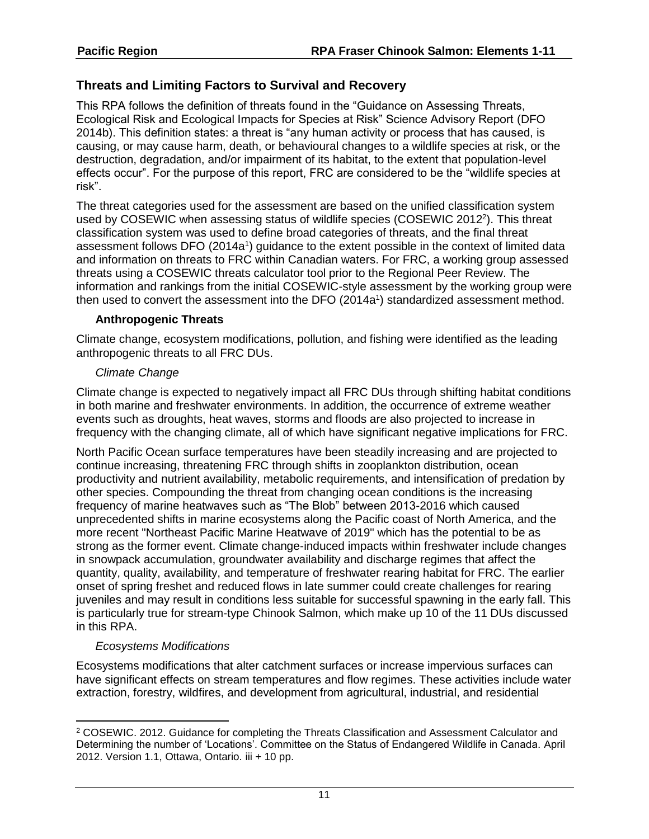### **Threats and Limiting Factors to Survival and Recovery**

This RPA follows the definition of threats found in the "Guidance on Assessing Threats, Ecological Risk and Ecological Impacts for Species at Risk" Science Advisory Report (DFO 2014b). This definition states: a threat is "any human activity or process that has caused, is causing, or may cause harm, death, or behavioural changes to a wildlife species at risk, or the destruction, degradation, and/or impairment of its habitat, to the extent that population-level effects occur". For the purpose of this report, FRC are considered to be the "wildlife species at risk".

The threat categories used for the assessment are based on the unified classification system used by COSEWIC when assessing status of wildlife species (COSEWIC 2012<sup>2</sup>). This threat classification system was used to define broad categories of threats, and the final threat assessment follows DFO (20[1](#page-3-0)4a<sup>1</sup>) guidance to the extent possible in the context of limited data and information on threats to FRC within Canadian waters. For FRC, a working group assessed threats using a COSEWIC threats calculator tool prior to the Regional Peer Review. The information and rankings from the initial COSEWIC-style assessment by the working group were then used to convert the assessment into the DFO (2014[a](#page-3-0) 1 ) standardized assessment method.

#### **Anthropogenic Threats**

Climate change, ecosystem modifications, pollution, and fishing were identified as the leading anthropogenic threats to all FRC DUs.

#### *Climate Change*

Climate change is expected to negatively impact all FRC DUs through shifting habitat conditions in both marine and freshwater environments. In addition, the occurrence of extreme weather events such as droughts, heat waves, storms and floods are also projected to increase in frequency with the changing climate, all of which have significant negative implications for FRC.

North Pacific Ocean surface temperatures have been steadily increasing and are projected to continue increasing, threatening FRC through shifts in zooplankton distribution, ocean productivity and nutrient availability, metabolic requirements, and intensification of predation by other species. Compounding the threat from changing ocean conditions is the increasing frequency of marine heatwaves such as "The Blob" between 2013-2016 which caused unprecedented shifts in marine ecosystems along the Pacific coast of North America, and the more recent "Northeast Pacific Marine Heatwave of 2019" which has the potential to be as strong as the former event. Climate change-induced impacts within freshwater include changes in snowpack accumulation, groundwater availability and discharge regimes that affect the quantity, quality, availability, and temperature of freshwater rearing habitat for FRC. The earlier onset of spring freshet and reduced flows in late summer could create challenges for rearing juveniles and may result in conditions less suitable for successful spawning in the early fall. This is particularly true for stream-type Chinook Salmon, which make up 10 of the 11 DUs discussed in this RPA.

#### *Ecosystems Modifications*

 $\overline{a}$ 

Ecosystems modifications that alter catchment surfaces or increase impervious surfaces can have significant effects on stream temperatures and flow regimes. These activities include water extraction, forestry, wildfires, and development from agricultural, industrial, and residential

<sup>2</sup> COSEWIC. 2012. Guidance for completing the Threats Classification and Assessment Calculator and Determining the number of 'Locations'. Committee on the Status of Endangered Wildlife in Canada. April 2012. Version 1.1, Ottawa, Ontario. iii + 10 pp.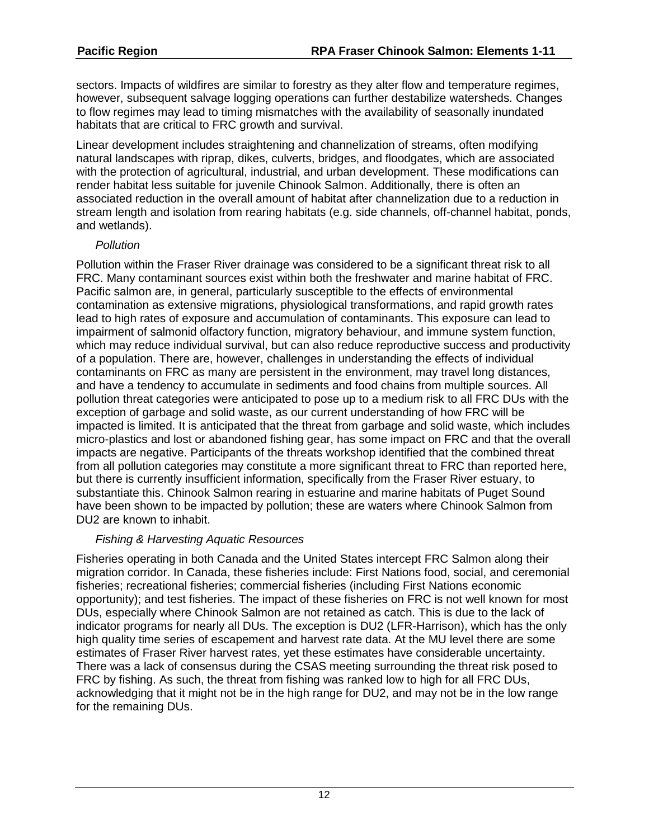sectors. Impacts of wildfires are similar to forestry as they alter flow and temperature regimes, however, subsequent salvage logging operations can further destabilize watersheds. Changes to flow regimes may lead to timing mismatches with the availability of seasonally inundated habitats that are critical to FRC growth and survival.

Linear development includes straightening and channelization of streams, often modifying natural landscapes with riprap, dikes, culverts, bridges, and floodgates, which are associated with the protection of agricultural, industrial, and urban development. These modifications can render habitat less suitable for juvenile Chinook Salmon. Additionally, there is often an associated reduction in the overall amount of habitat after channelization due to a reduction in stream length and isolation from rearing habitats (e.g. side channels, off-channel habitat, ponds, and wetlands).

#### *Pollution*

Pollution within the Fraser River drainage was considered to be a significant threat risk to all FRC. Many contaminant sources exist within both the freshwater and marine habitat of FRC. Pacific salmon are, in general, particularly susceptible to the effects of environmental contamination as extensive migrations, physiological transformations, and rapid growth rates lead to high rates of exposure and accumulation of contaminants. This exposure can lead to impairment of salmonid olfactory function, migratory behaviour, and immune system function, which may reduce individual survival, but can also reduce reproductive success and productivity of a population. There are, however, challenges in understanding the effects of individual contaminants on FRC as many are persistent in the environment, may travel long distances, and have a tendency to accumulate in sediments and food chains from multiple sources. All pollution threat categories were anticipated to pose up to a medium risk to all FRC DUs with the exception of garbage and solid waste, as our current understanding of how FRC will be impacted is limited. It is anticipated that the threat from garbage and solid waste, which includes micro-plastics and lost or abandoned fishing gear, has some impact on FRC and that the overall impacts are negative. Participants of the threats workshop identified that the combined threat from all pollution categories may constitute a more significant threat to FRC than reported here, but there is currently insufficient information, specifically from the Fraser River estuary, to substantiate this. Chinook Salmon rearing in estuarine and marine habitats of Puget Sound have been shown to be impacted by pollution; these are waters where Chinook Salmon from DU2 are known to inhabit.

### *Fishing & Harvesting Aquatic Resources*

Fisheries operating in both Canada and the United States intercept FRC Salmon along their migration corridor. In Canada, these fisheries include: First Nations food, social, and ceremonial fisheries; recreational fisheries; commercial fisheries (including First Nations economic opportunity); and test fisheries. The impact of these fisheries on FRC is not well known for most DUs, especially where Chinook Salmon are not retained as catch. This is due to the lack of indicator programs for nearly all DUs. The exception is DU2 (LFR-Harrison), which has the only high quality time series of escapement and harvest rate data. At the MU level there are some estimates of Fraser River harvest rates, yet these estimates have considerable uncertainty. There was a lack of consensus during the CSAS meeting surrounding the threat risk posed to FRC by fishing. As such, the threat from fishing was ranked low to high for all FRC DUs, acknowledging that it might not be in the high range for DU2, and may not be in the low range for the remaining DUs.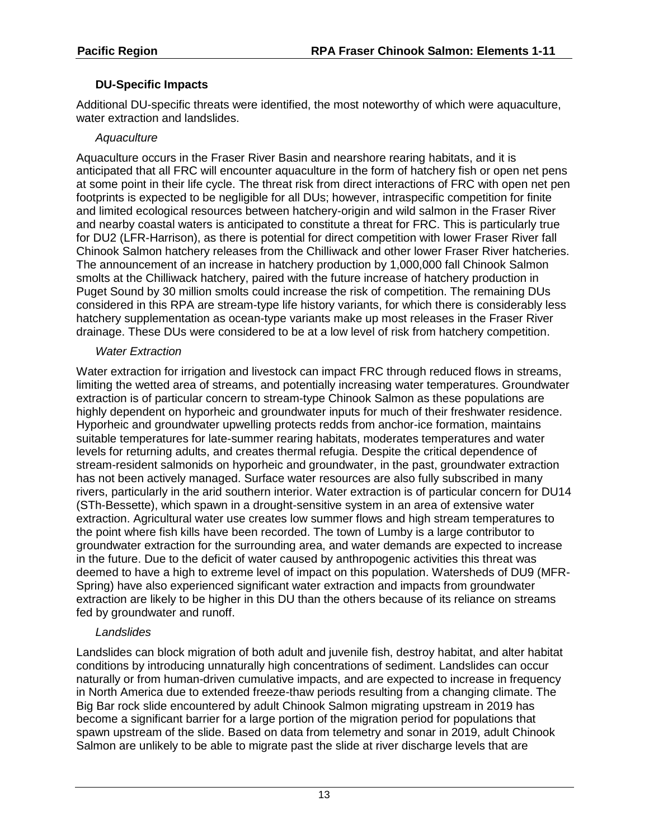## **DU-Specific Impacts**

Additional DU-specific threats were identified, the most noteworthy of which were aquaculture, water extraction and landslides.

## *Aquaculture*

Aquaculture occurs in the Fraser River Basin and nearshore rearing habitats, and it is anticipated that all FRC will encounter aquaculture in the form of hatchery fish or open net pens at some point in their life cycle. The threat risk from direct interactions of FRC with open net pen footprints is expected to be negligible for all DUs; however, intraspecific competition for finite and limited ecological resources between hatchery-origin and wild salmon in the Fraser River and nearby coastal waters is anticipated to constitute a threat for FRC. This is particularly true for DU2 (LFR-Harrison), as there is potential for direct competition with lower Fraser River fall Chinook Salmon hatchery releases from the Chilliwack and other lower Fraser River hatcheries. The announcement of an increase in hatchery production by 1,000,000 fall Chinook Salmon smolts at the Chilliwack hatchery, paired with the future increase of hatchery production in Puget Sound by 30 million smolts could increase the risk of competition. The remaining DUs considered in this RPA are stream-type life history variants, for which there is considerably less hatchery supplementation as ocean-type variants make up most releases in the Fraser River drainage. These DUs were considered to be at a low level of risk from hatchery competition.

### *Water Extraction*

Water extraction for irrigation and livestock can impact FRC through reduced flows in streams, limiting the wetted area of streams, and potentially increasing water temperatures. Groundwater extraction is of particular concern to stream-type Chinook Salmon as these populations are highly dependent on hyporheic and groundwater inputs for much of their freshwater residence. Hyporheic and groundwater upwelling protects redds from anchor-ice formation, maintains suitable temperatures for late-summer rearing habitats, moderates temperatures and water levels for returning adults, and creates thermal refugia. Despite the critical dependence of stream-resident salmonids on hyporheic and groundwater, in the past, groundwater extraction has not been actively managed. Surface water resources are also fully subscribed in many rivers, particularly in the arid southern interior. Water extraction is of particular concern for DU14 (STh-Bessette), which spawn in a drought-sensitive system in an area of extensive water extraction. Agricultural water use creates low summer flows and high stream temperatures to the point where fish kills have been recorded. The town of Lumby is a large contributor to groundwater extraction for the surrounding area, and water demands are expected to increase in the future. Due to the deficit of water caused by anthropogenic activities this threat was deemed to have a high to extreme level of impact on this population. Watersheds of DU9 (MFR-Spring) have also experienced significant water extraction and impacts from groundwater extraction are likely to be higher in this DU than the others because of its reliance on streams fed by groundwater and runoff.

## *Landslides*

Landslides can block migration of both adult and juvenile fish, destroy habitat, and alter habitat conditions by introducing unnaturally high concentrations of sediment. Landslides can occur naturally or from human-driven cumulative impacts, and are expected to increase in frequency in North America due to extended freeze-thaw periods resulting from a changing climate. The Big Bar rock slide encountered by adult Chinook Salmon migrating upstream in 2019 has become a significant barrier for a large portion of the migration period for populations that spawn upstream of the slide. Based on data from telemetry and sonar in 2019, adult Chinook Salmon are unlikely to be able to migrate past the slide at river discharge levels that are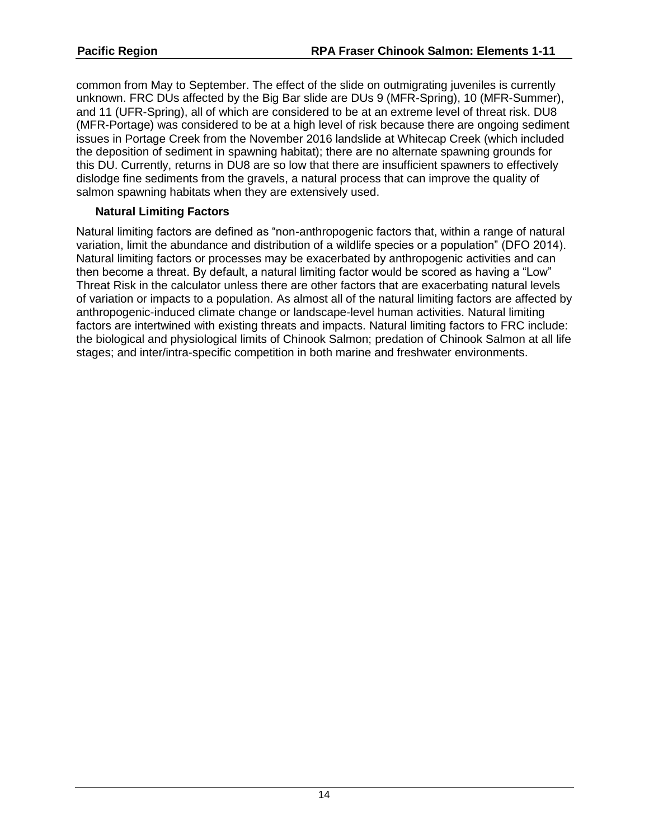common from May to September. The effect of the slide on outmigrating juveniles is currently unknown. FRC DUs affected by the Big Bar slide are DUs 9 (MFR-Spring), 10 (MFR-Summer), and 11 (UFR-Spring), all of which are considered to be at an extreme level of threat risk. DU8 (MFR-Portage) was considered to be at a high level of risk because there are ongoing sediment issues in Portage Creek from the November 2016 landslide at Whitecap Creek (which included the deposition of sediment in spawning habitat); there are no alternate spawning grounds for this DU. Currently, returns in DU8 are so low that there are insufficient spawners to effectively dislodge fine sediments from the gravels, a natural process that can improve the quality of salmon spawning habitats when they are extensively used.

#### **Natural Limiting Factors**

Natural limiting factors are defined as "non-anthropogenic factors that, within a range of natural variation, limit the abundance and distribution of a wildlife species or a population" (DFO 2014). Natural limiting factors or processes may be exacerbated by anthropogenic activities and can then become a threat. By default, a natural limiting factor would be scored as having a "Low" Threat Risk in the calculator unless there are other factors that are exacerbating natural levels of variation or impacts to a population. As almost all of the natural limiting factors are affected by anthropogenic-induced climate change or landscape-level human activities. Natural limiting factors are intertwined with existing threats and impacts. Natural limiting factors to FRC include: the biological and physiological limits of Chinook Salmon; predation of Chinook Salmon at all life stages; and inter/intra-specific competition in both marine and freshwater environments.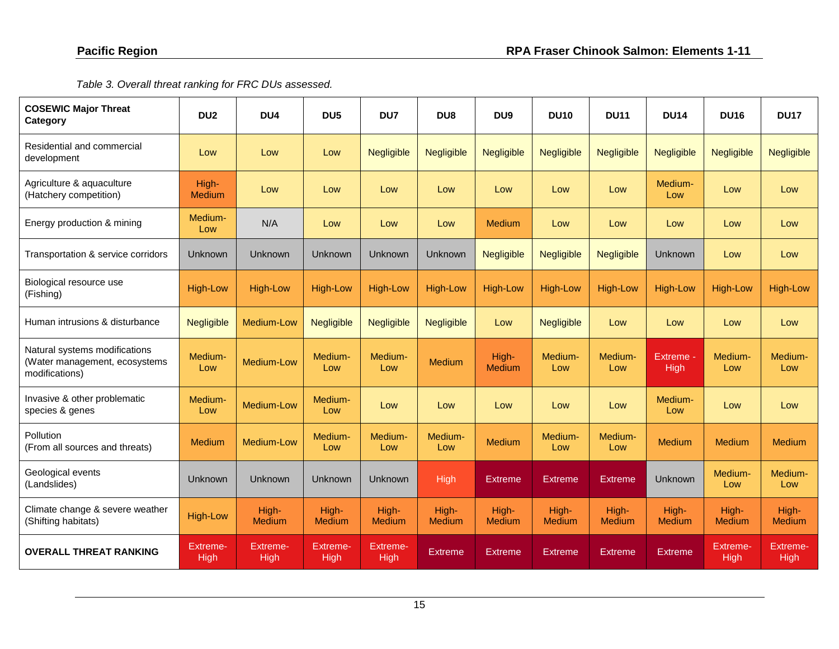*Table 3. Overall threat ranking for FRC DUs assessed.* 

| <b>COSEWIC Major Threat</b><br>Category                                          | DU <sub>2</sub>                | DU <sub>4</sub>         | DU <sub>5</sub>         | DU7                     | DU <sub>8</sub>        | DU <sub>9</sub>        | <b>DU10</b>       | <b>DU11</b>            | <b>DU14</b>            | <b>DU16</b>            | <b>DU17</b>             |
|----------------------------------------------------------------------------------|--------------------------------|-------------------------|-------------------------|-------------------------|------------------------|------------------------|-------------------|------------------------|------------------------|------------------------|-------------------------|
| Residential and commercial<br>development                                        | Low                            | Low                     | Low                     | Negligible              | <b>Negligible</b>      | <b>Negligible</b>      | <b>Negligible</b> | <b>Negligible</b>      | <b>Negligible</b>      | Negligible             | <b>Negligible</b>       |
| Agriculture & aquaculture<br>(Hatchery competition)                              | High-<br><b>Medium</b>         | Low                     | Low                     | Low                     | Low                    | Low                    | Low               | Low                    | Medium-<br>Low         | Low                    | Low                     |
| Energy production & mining                                                       | Medium-<br>Low                 | N/A                     | Low                     | Low                     | Low                    | <b>Medium</b>          | Low               | Low                    | Low                    | Low                    | Low                     |
| Transportation & service corridors                                               | <b>Unknown</b>                 | Unknown                 | Unknown                 | Unknown                 | Unknown                | <b>Negligible</b>      | <b>Negligible</b> | Negligible             | <b>Unknown</b>         | Low                    | Low                     |
| Biological resource use<br>(Fishing)                                             | <b>High-Low</b>                | <b>High-Low</b>         | <b>High-Low</b>         | <b>High-Low</b>         | <b>High-Low</b>        | <b>High-Low</b>        | <b>High-Low</b>   | <b>High-Low</b>        | <b>High-Low</b>        | <b>High-Low</b>        | <b>High-Low</b>         |
| Human intrusions & disturbance                                                   | <b>Negligible</b>              | Medium-Low              | <b>Negligible</b>       | Negligible              | <b>Negligible</b>      | Low                    | <b>Negligible</b> | Low                    | Low                    | Low                    | Low                     |
| Natural systems modifications<br>(Water management, ecosystems<br>modifications) | Medium-<br>Low                 | Medium-Low              | Medium-<br>Low          | Medium-<br>Low          | <b>Medium</b>          | High-<br><b>Medium</b> | Medium-<br>Low    | Medium-<br>Low         | Extreme -<br>High      | Medium-<br>Low         | Medium-<br>Low          |
| Invasive & other problematic<br>species & genes                                  | Medium-<br>Low                 | Medium-Low              | Medium-<br>Low          | Low                     | Low                    | Low                    | Low               | Low                    | Medium-<br>Low         | Low                    | Low                     |
| Pollution<br>(From all sources and threats)                                      | Medium                         | Medium-Low              | Medium-<br>Low          | Medium-<br>Low          | Medium-<br>Low         | <b>Medium</b>          | Medium-<br>Low    | Medium-<br>Low         | <b>Medium</b>          | <b>Medium</b>          | Medium                  |
| Geological events<br>(Landslides)                                                | <b>Unknown</b>                 | Unknown                 | Unknown                 | Unknown                 | <b>High</b>            | <b>Extreme</b>         | <b>Extreme</b>    | Extreme                | <b>Unknown</b>         | Medium-<br>Low         | Medium-<br>Low          |
| Climate change & severe weather<br>(Shifting habitats)                           | <b>High-Low</b>                | High-<br>Medium         | High-<br>Medium         | High-<br><b>Medium</b>  | High-<br><b>Medium</b> | High-<br><b>Medium</b> | High-<br>Medium   | High-<br><b>Medium</b> | High-<br><b>Medium</b> | High-<br><b>Medium</b> | High-<br><b>Medium</b>  |
| <b>OVERALL THREAT RANKING</b>                                                    | <b>Extreme-</b><br><b>High</b> | Extreme-<br><b>High</b> | Extreme-<br><b>High</b> | Extreme-<br><b>High</b> | <b>Extreme</b>         | <b>Extreme</b>         | <b>Extreme</b>    | <b>Extreme</b>         | <b>Extreme</b>         | Extreme-<br>High       | Extreme-<br><b>High</b> |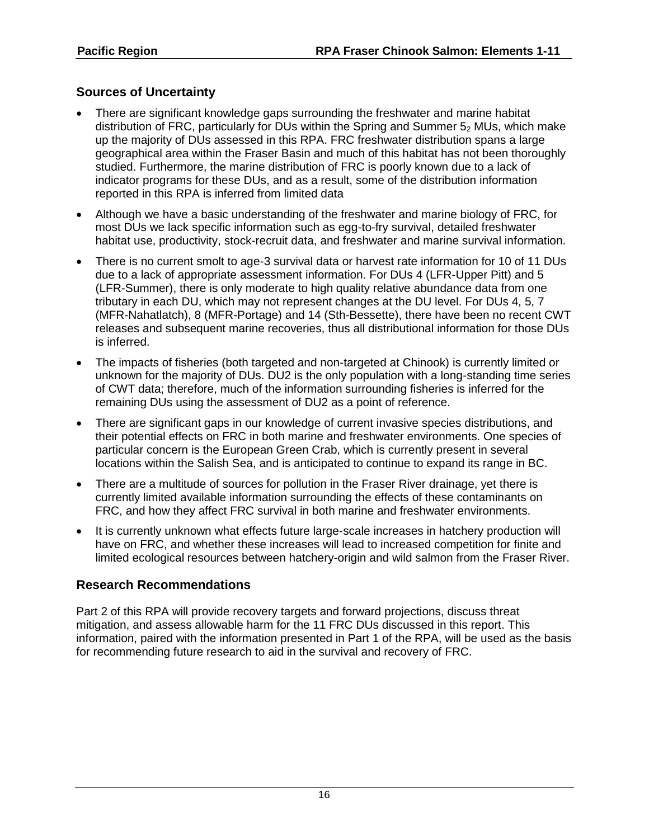## **Sources of Uncertainty**

- There are significant knowledge gaps surrounding the freshwater and marine habitat distribution of FRC, particularly for DUs within the Spring and Summer 5<sup>2</sup> MUs, which make up the majority of DUs assessed in this RPA. FRC freshwater distribution spans a large geographical area within the Fraser Basin and much of this habitat has not been thoroughly studied. Furthermore, the marine distribution of FRC is poorly known due to a lack of indicator programs for these DUs, and as a result, some of the distribution information reported in this RPA is inferred from limited data
- Although we have a basic understanding of the freshwater and marine biology of FRC, for most DUs we lack specific information such as egg-to-fry survival, detailed freshwater habitat use, productivity, stock-recruit data, and freshwater and marine survival information.
- There is no current smolt to age-3 survival data or harvest rate information for 10 of 11 DUs due to a lack of appropriate assessment information. For DUs 4 (LFR-Upper Pitt) and 5 (LFR-Summer), there is only moderate to high quality relative abundance data from one tributary in each DU, which may not represent changes at the DU level. For DUs 4, 5, 7 (MFR-Nahatlatch), 8 (MFR-Portage) and 14 (Sth-Bessette), there have been no recent CWT releases and subsequent marine recoveries, thus all distributional information for those DUs is inferred.
- The impacts of fisheries (both targeted and non-targeted at Chinook) is currently limited or unknown for the majority of DUs. DU2 is the only population with a long-standing time series of CWT data; therefore, much of the information surrounding fisheries is inferred for the remaining DUs using the assessment of DU2 as a point of reference.
- There are significant gaps in our knowledge of current invasive species distributions, and their potential effects on FRC in both marine and freshwater environments. One species of particular concern is the European Green Crab, which is currently present in several locations within the Salish Sea, and is anticipated to continue to expand its range in BC.
- There are a multitude of sources for pollution in the Fraser River drainage, yet there is currently limited available information surrounding the effects of these contaminants on FRC, and how they affect FRC survival in both marine and freshwater environments.
- It is currently unknown what effects future large-scale increases in hatchery production will have on FRC, and whether these increases will lead to increased competition for finite and limited ecological resources between hatchery-origin and wild salmon from the Fraser River.

## **Research Recommendations**

Part 2 of this RPA will provide recovery targets and forward projections, discuss threat mitigation, and assess allowable harm for the 11 FRC DUs discussed in this report. This information, paired with the information presented in Part 1 of the RPA, will be used as the basis for recommending future research to aid in the survival and recovery of FRC.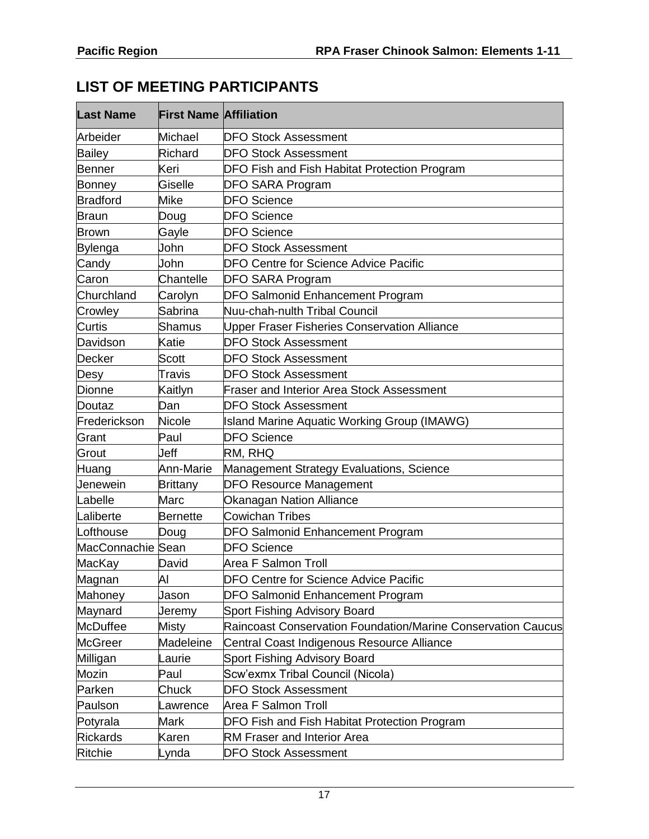# **LIST OF MEETING PARTICIPANTS**

| <b>Last Name</b>  | <b>First Name Affiliation</b> |                                                                     |
|-------------------|-------------------------------|---------------------------------------------------------------------|
| Arbeider          | Michael                       | <b>DFO Stock Assessment</b>                                         |
| <b>Bailey</b>     | Richard                       | <b>DFO Stock Assessment</b>                                         |
| Benner            | Keri                          | DFO Fish and Fish Habitat Protection Program                        |
| Bonney            | Giselle                       | DFO SARA Program                                                    |
| <b>Bradford</b>   | Mike                          | <b>DFO Science</b>                                                  |
| Braun             | Doug                          | <b>DFO Science</b>                                                  |
| Brown             | Gayle                         | <b>DFO Science</b>                                                  |
| Bylenga           | John                          | <b>DFO Stock Assessment</b>                                         |
| Candy             | John                          | DFO Centre for Science Advice Pacific                               |
| Caron             | Chantelle                     | <b>DFO SARA Program</b>                                             |
| Churchland        | Carolyn                       | <b>DFO Salmonid Enhancement Program</b>                             |
| Crowley           | Sabrina                       | Nuu-chah-nulth Tribal Council                                       |
| Curtis            | Shamus                        | Upper Fraser Fisheries Conservation Alliance                        |
| Davidson          | Katie                         | <b>DFO Stock Assessment</b>                                         |
| Decker            | Scott                         | <b>DFO Stock Assessment</b>                                         |
| Desy              | Travis                        | <b>DFO Stock Assessment</b>                                         |
| <b>Dionne</b>     | Kaitlyn                       | <b>Fraser and Interior Area Stock Assessment</b>                    |
| Doutaz            | Dan                           | <b>DFO Stock Assessment</b>                                         |
| Frederickson      | Nicole                        | <b>Island Marine Aquatic Working Group (IMAWG)</b>                  |
| Grant             | Paul                          | <b>DFO Science</b>                                                  |
| Grout             | Jeff                          | RM, RHQ                                                             |
| Huang             | Ann-Marie                     | Management Strategy Evaluations, Science                            |
| Jenewein          | <b>Brittany</b>               | <b>DFO Resource Management</b>                                      |
| Labelle           | Marc                          | Okanagan Nation Alliance                                            |
| Laliberte         | <b>Bernette</b>               | <b>Cowichan Tribes</b>                                              |
| Lofthouse         | Doug                          | DFO Salmonid Enhancement Program                                    |
| MacConnachie Sean |                               | <b>DFO Science</b>                                                  |
| MacKay            | David                         | Area F Salmon Troll                                                 |
| Magnan            | Al                            | DFO Centre for Science Advice Pacific                               |
| Mahoney           | Jason                         | <b>DFO Salmonid Enhancement Program</b>                             |
| Maynard           | Jeremy                        | Sport Fishing Advisory Board                                        |
| <b>McDuffee</b>   | Misty                         | <b>Raincoast Conservation Foundation/Marine Conservation Caucus</b> |
| <b>McGreer</b>    | Madeleine                     | Central Coast Indigenous Resource Alliance                          |
| Milligan          | Laurie                        | Sport Fishing Advisory Board                                        |
| Mozin             | Paul                          | Scw'exmx Tribal Council (Nicola)                                    |
| Parken            | Chuck                         | <b>DFO Stock Assessment</b>                                         |
| Paulson           | _awrence                      | <b>Area F Salmon Troll</b>                                          |
| Potyrala          | Mark                          | DFO Fish and Fish Habitat Protection Program                        |
| Rickards          | Karen                         | <b>RM Fraser and Interior Area</b>                                  |
| Ritchie           | Lynda                         | DFO Stock Assessment                                                |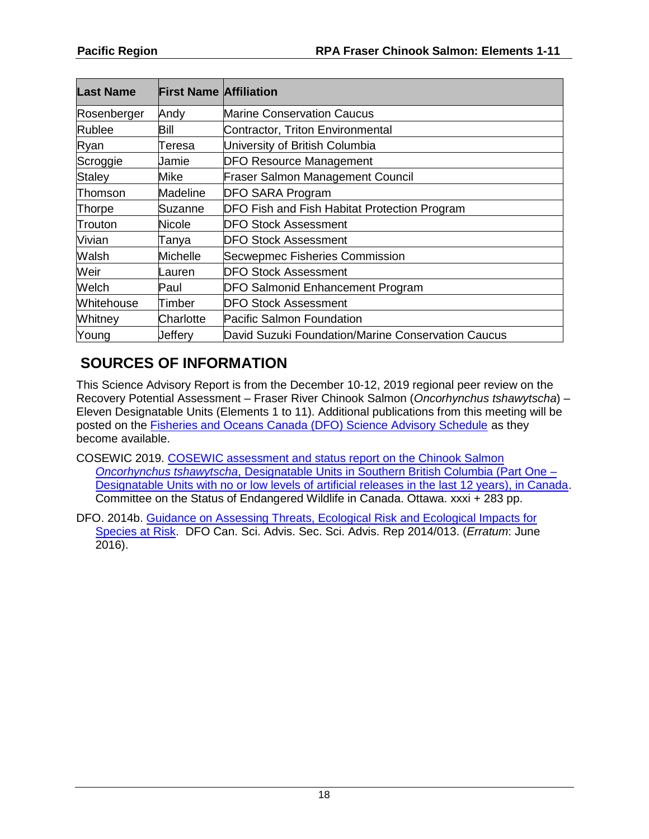| <b>Last Name</b> | <b>First Name Affiliation</b> |                                                    |
|------------------|-------------------------------|----------------------------------------------------|
| Rosenberger      | Andy                          | <b>Marine Conservation Caucus</b>                  |
| Rublee           | Bill                          | Contractor, Triton Environmental                   |
| Ryan             | Teresa                        | University of British Columbia                     |
| Scroggie         | Jamie                         | <b>DFO Resource Management</b>                     |
| <b>Staley</b>    | Mike                          | <b>Fraser Salmon Management Council</b>            |
| Thomson          | Madeline                      | <b>DFO SARA Program</b>                            |
| <b>Thorpe</b>    | Suzanne                       | DFO Fish and Fish Habitat Protection Program       |
| Trouton          | Nicole                        | <b>DFO Stock Assessment</b>                        |
| Vivian           | Tanya                         | <b>DFO Stock Assessment</b>                        |
| Walsh            | Michelle                      | Secwepmec Fisheries Commission                     |
| Weir             | auren.                        | <b>DFO Stock Assessment</b>                        |
| Welch            | Paul                          | <b>DFO Salmonid Enhancement Program</b>            |
| Whitehouse       | Timber                        | <b>DFO Stock Assessment</b>                        |
| Whitney          | Charlotte                     | <b>Pacific Salmon Foundation</b>                   |
| Young            | Jeffery                       | David Suzuki Foundation/Marine Conservation Caucus |

# **SOURCES OF INFORMATION**

This Science Advisory Report is from the December 10-12, 2019 regional peer review on the Recovery Potential Assessment – Fraser River Chinook Salmon (*Oncorhynchus tshawytscha*) – Eleven Designatable Units (Elements 1 to 11). Additional publications from this meeting will be posted on the [Fisheries and Oceans Canada \(DFO\) Science Advisory Schedule](http://www.isdm-gdsi.gc.ca/csas-sccs/applications/events-evenements/index-eng.asp) as they become available.

- COSEWIC 2019. [COSEWIC assessment and status report on the Chinook Salmon](https://www.canada.ca/en/environment-climate-change/services/species-risk-public-registry/cosewic-assessments-status-reports/chinook-salmon-2018.html)  *Oncorhynchus tshawytscha*[, Designatable Units in Southern British Columbia \(Part One –](https://www.canada.ca/en/environment-climate-change/services/species-risk-public-registry/cosewic-assessments-status-reports/chinook-salmon-2018.html) [Designatable Units with no or low levels of artificial releases in the last 12 years\), in Canada.](https://www.canada.ca/en/environment-climate-change/services/species-risk-public-registry/cosewic-assessments-status-reports/chinook-salmon-2018.html) Committee on the Status of Endangered Wildlife in Canada. Ottawa. xxxi + 283 pp.
- DFO. 2014b. Guidance on Assessing Threats, Ecological Risk and Ecological Impacts for [Species at Risk.](http://www.dfo-mpo.gc.ca/csas-sccs/Publications/SAR-AS/2014/2014_013-eng.html) DFO Can. Sci. Advis. Sec. Sci. Advis. Rep 2014/013. (*Erratum*: June 2016).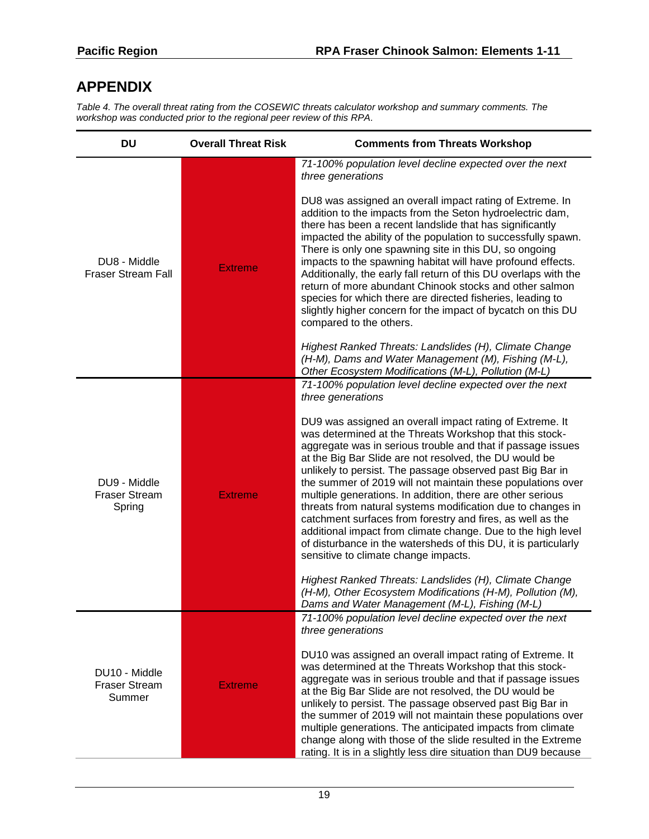# **APPENDIX**

*Table 4. The overall threat rating from the COSEWIC threats calculator workshop and summary comments. The workshop was conducted prior to the regional peer review of this RPA.*

| <b>DU</b>                                       | <b>Overall Threat Risk</b> | <b>Comments from Threats Workshop</b>                                                                                                                                                                                                                                                                                                                                                                                                                                                                                                                                                                                                                                                                                                          |
|-------------------------------------------------|----------------------------|------------------------------------------------------------------------------------------------------------------------------------------------------------------------------------------------------------------------------------------------------------------------------------------------------------------------------------------------------------------------------------------------------------------------------------------------------------------------------------------------------------------------------------------------------------------------------------------------------------------------------------------------------------------------------------------------------------------------------------------------|
|                                                 |                            | 71-100% population level decline expected over the next<br>three generations                                                                                                                                                                                                                                                                                                                                                                                                                                                                                                                                                                                                                                                                   |
| DU8 - Middle<br><b>Fraser Stream Fall</b>       | <b>Extreme</b>             | DU8 was assigned an overall impact rating of Extreme. In<br>addition to the impacts from the Seton hydroelectric dam,<br>there has been a recent landslide that has significantly<br>impacted the ability of the population to successfully spawn.<br>There is only one spawning site in this DU, so ongoing<br>impacts to the spawning habitat will have profound effects.<br>Additionally, the early fall return of this DU overlaps with the<br>return of more abundant Chinook stocks and other salmon<br>species for which there are directed fisheries, leading to<br>slightly higher concern for the impact of bycatch on this DU<br>compared to the others.                                                                            |
|                                                 |                            | Highest Ranked Threats: Landslides (H), Climate Change<br>(H-M), Dams and Water Management (M), Fishing (M-L),<br>Other Ecosystem Modifications (M-L), Pollution (M-L)                                                                                                                                                                                                                                                                                                                                                                                                                                                                                                                                                                         |
|                                                 |                            | 71-100% population level decline expected over the next<br>three generations                                                                                                                                                                                                                                                                                                                                                                                                                                                                                                                                                                                                                                                                   |
| DU9 - Middle<br><b>Fraser Stream</b><br>Spring  | <b>Extreme</b>             | DU9 was assigned an overall impact rating of Extreme. It<br>was determined at the Threats Workshop that this stock-<br>aggregate was in serious trouble and that if passage issues<br>at the Big Bar Slide are not resolved, the DU would be<br>unlikely to persist. The passage observed past Big Bar in<br>the summer of 2019 will not maintain these populations over<br>multiple generations. In addition, there are other serious<br>threats from natural systems modification due to changes in<br>catchment surfaces from forestry and fires, as well as the<br>additional impact from climate change. Due to the high level<br>of disturbance in the watersheds of this DU, it is particularly<br>sensitive to climate change impacts. |
|                                                 |                            | Highest Ranked Threats: Landslides (H), Climate Change<br>(H-M), Other Ecosystem Modifications (H-M), Pollution (M),<br>Dams and Water Management (M-L), Fishing (M-L)                                                                                                                                                                                                                                                                                                                                                                                                                                                                                                                                                                         |
| DU10 - Middle<br><b>Fraser Stream</b><br>Summer |                            | 71-100% population level decline expected over the next<br>three generations                                                                                                                                                                                                                                                                                                                                                                                                                                                                                                                                                                                                                                                                   |
|                                                 | <b>Extreme</b>             | DU10 was assigned an overall impact rating of Extreme. It<br>was determined at the Threats Workshop that this stock-<br>aggregate was in serious trouble and that if passage issues<br>at the Big Bar Slide are not resolved, the DU would be<br>unlikely to persist. The passage observed past Big Bar in<br>the summer of 2019 will not maintain these populations over<br>multiple generations. The anticipated impacts from climate<br>change along with those of the slide resulted in the Extreme<br>rating. It is in a slightly less dire situation than DU9 because                                                                                                                                                                    |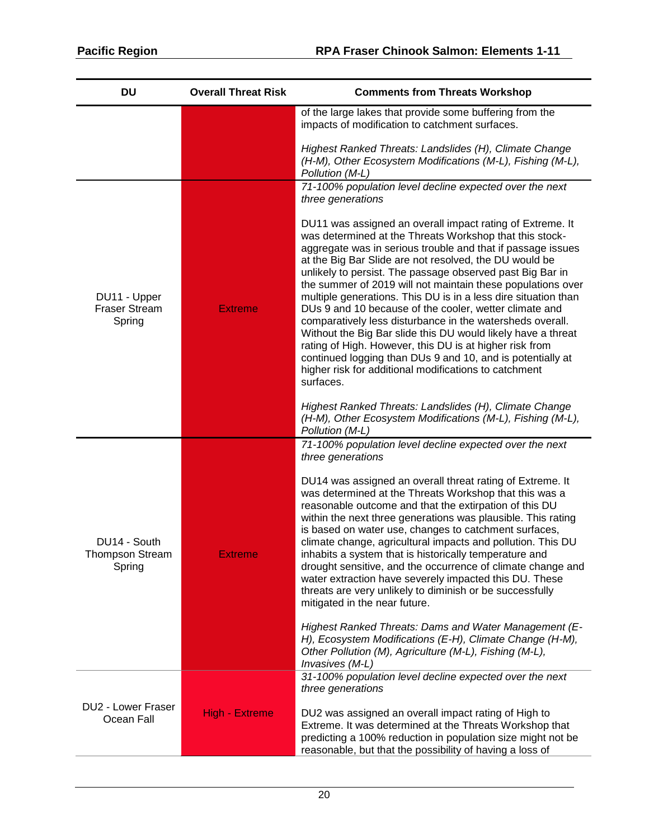| <b>DU</b>                                        | <b>Overall Threat Risk</b> | <b>Comments from Threats Workshop</b>                                                                                                                                                                                                                                                                                                                                                                                                                                                                                                                                                                                                                                                                                                                                                                                             |
|--------------------------------------------------|----------------------------|-----------------------------------------------------------------------------------------------------------------------------------------------------------------------------------------------------------------------------------------------------------------------------------------------------------------------------------------------------------------------------------------------------------------------------------------------------------------------------------------------------------------------------------------------------------------------------------------------------------------------------------------------------------------------------------------------------------------------------------------------------------------------------------------------------------------------------------|
|                                                  |                            | of the large lakes that provide some buffering from the<br>impacts of modification to catchment surfaces.                                                                                                                                                                                                                                                                                                                                                                                                                                                                                                                                                                                                                                                                                                                         |
|                                                  |                            | Highest Ranked Threats: Landslides (H), Climate Change<br>(H-M), Other Ecosystem Modifications (M-L), Fishing (M-L),<br>Pollution (M-L)                                                                                                                                                                                                                                                                                                                                                                                                                                                                                                                                                                                                                                                                                           |
|                                                  |                            | 71-100% population level decline expected over the next<br>three generations                                                                                                                                                                                                                                                                                                                                                                                                                                                                                                                                                                                                                                                                                                                                                      |
| DU11 - Upper<br><b>Fraser Stream</b><br>Spring   | <b>Extreme</b>             | DU11 was assigned an overall impact rating of Extreme. It<br>was determined at the Threats Workshop that this stock-<br>aggregate was in serious trouble and that if passage issues<br>at the Big Bar Slide are not resolved, the DU would be<br>unlikely to persist. The passage observed past Big Bar in<br>the summer of 2019 will not maintain these populations over<br>multiple generations. This DU is in a less dire situation than<br>DUs 9 and 10 because of the cooler, wetter climate and<br>comparatively less disturbance in the watersheds overall.<br>Without the Big Bar slide this DU would likely have a threat<br>rating of High. However, this DU is at higher risk from<br>continued logging than DUs 9 and 10, and is potentially at<br>higher risk for additional modifications to catchment<br>surfaces. |
|                                                  |                            | Highest Ranked Threats: Landslides (H), Climate Change<br>(H-M), Other Ecosystem Modifications (M-L), Fishing (M-L),<br>Pollution (M-L)                                                                                                                                                                                                                                                                                                                                                                                                                                                                                                                                                                                                                                                                                           |
|                                                  |                            | 71-100% population level decline expected over the next<br>three generations                                                                                                                                                                                                                                                                                                                                                                                                                                                                                                                                                                                                                                                                                                                                                      |
| DU14 - South<br><b>Thompson Stream</b><br>Spring | <b>Extreme</b>             | DU14 was assigned an overall threat rating of Extreme. It<br>was determined at the Threats Workshop that this was a<br>reasonable outcome and that the extirpation of this DU<br>within the next three generations was plausible. This rating<br>is based on water use, changes to catchment surfaces,<br>climate change, agricultural impacts and pollution. This DU<br>inhabits a system that is historically temperature and<br>drought sensitive, and the occurrence of climate change and<br>water extraction have severely impacted this DU. These<br>threats are very unlikely to diminish or be successfully<br>mitigated in the near future.                                                                                                                                                                             |
|                                                  |                            | Highest Ranked Threats: Dams and Water Management (E-<br>H), Ecosystem Modifications (E-H), Climate Change (H-M),<br>Other Pollution (M), Agriculture (M-L), Fishing (M-L),<br>Invasives (M-L)                                                                                                                                                                                                                                                                                                                                                                                                                                                                                                                                                                                                                                    |
|                                                  |                            | 31-100% population level decline expected over the next<br>three generations                                                                                                                                                                                                                                                                                                                                                                                                                                                                                                                                                                                                                                                                                                                                                      |
| DU2 - Lower Fraser<br>Ocean Fall                 | <b>High - Extreme</b>      | DU2 was assigned an overall impact rating of High to<br>Extreme. It was determined at the Threats Workshop that<br>predicting a 100% reduction in population size might not be<br>reasonable, but that the possibility of having a loss of                                                                                                                                                                                                                                                                                                                                                                                                                                                                                                                                                                                        |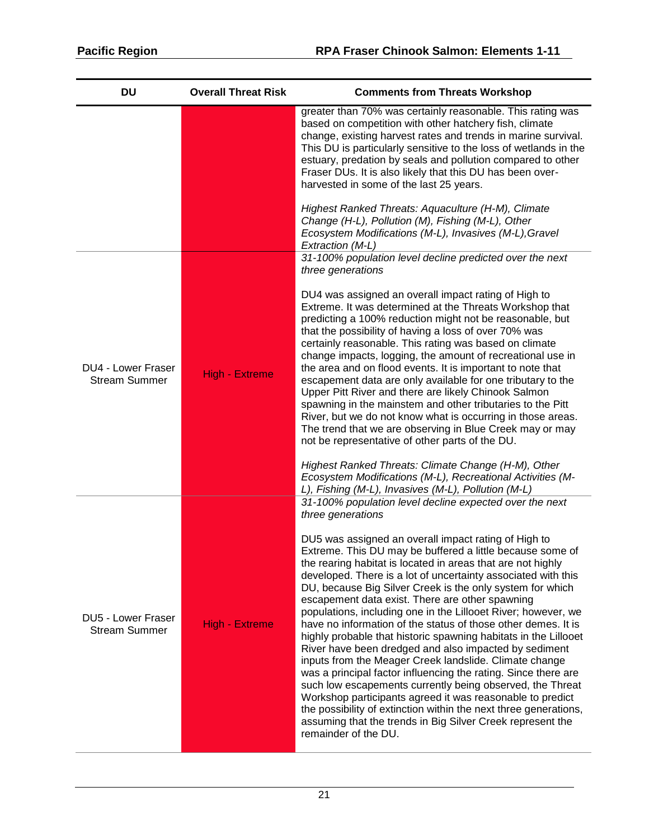| <b>DU</b>                                  | <b>Overall Threat Risk</b> | <b>Comments from Threats Workshop</b>                                                                                                                                                                                                                                                                                                                                                                                                                                                                                                                                                                                                                                                                                                                                                                                                                                                                                                                                                                                                                                |
|--------------------------------------------|----------------------------|----------------------------------------------------------------------------------------------------------------------------------------------------------------------------------------------------------------------------------------------------------------------------------------------------------------------------------------------------------------------------------------------------------------------------------------------------------------------------------------------------------------------------------------------------------------------------------------------------------------------------------------------------------------------------------------------------------------------------------------------------------------------------------------------------------------------------------------------------------------------------------------------------------------------------------------------------------------------------------------------------------------------------------------------------------------------|
|                                            |                            | greater than 70% was certainly reasonable. This rating was<br>based on competition with other hatchery fish, climate<br>change, existing harvest rates and trends in marine survival.<br>This DU is particularly sensitive to the loss of wetlands in the<br>estuary, predation by seals and pollution compared to other<br>Fraser DUs. It is also likely that this DU has been over-<br>harvested in some of the last 25 years.<br>Highest Ranked Threats: Aquaculture (H-M), Climate                                                                                                                                                                                                                                                                                                                                                                                                                                                                                                                                                                               |
|                                            |                            | Change (H-L), Pollution (M), Fishing (M-L), Other<br>Ecosystem Modifications (M-L), Invasives (M-L), Gravel<br>Extraction (M-L)                                                                                                                                                                                                                                                                                                                                                                                                                                                                                                                                                                                                                                                                                                                                                                                                                                                                                                                                      |
|                                            |                            | 31-100% population level decline predicted over the next<br>three generations                                                                                                                                                                                                                                                                                                                                                                                                                                                                                                                                                                                                                                                                                                                                                                                                                                                                                                                                                                                        |
| DU4 - Lower Fraser<br><b>Stream Summer</b> | <b>High - Extreme</b>      | DU4 was assigned an overall impact rating of High to<br>Extreme. It was determined at the Threats Workshop that<br>predicting a 100% reduction might not be reasonable, but<br>that the possibility of having a loss of over 70% was<br>certainly reasonable. This rating was based on climate<br>change impacts, logging, the amount of recreational use in<br>the area and on flood events. It is important to note that<br>escapement data are only available for one tributary to the<br>Upper Pitt River and there are likely Chinook Salmon<br>spawning in the mainstem and other tributaries to the Pitt<br>River, but we do not know what is occurring in those areas.<br>The trend that we are observing in Blue Creek may or may<br>not be representative of other parts of the DU.<br>Highest Ranked Threats: Climate Change (H-M), Other<br>Ecosystem Modifications (M-L), Recreational Activities (M-                                                                                                                                                   |
|                                            |                            | L), Fishing (M-L), Invasives (M-L), Pollution (M-L)<br>31-100% population level decline expected over the next                                                                                                                                                                                                                                                                                                                                                                                                                                                                                                                                                                                                                                                                                                                                                                                                                                                                                                                                                       |
| DU5 - Lower Fraser<br><b>Stream Summer</b> | <b>High - Extreme</b>      | three generations<br>DU5 was assigned an overall impact rating of High to<br>Extreme. This DU may be buffered a little because some of<br>the rearing habitat is located in areas that are not highly<br>developed. There is a lot of uncertainty associated with this<br>DU, because Big Silver Creek is the only system for which<br>escapement data exist. There are other spawning<br>populations, including one in the Lillooet River; however, we<br>have no information of the status of those other demes. It is<br>highly probable that historic spawning habitats in the Lillooet<br>River have been dredged and also impacted by sediment<br>inputs from the Meager Creek landslide. Climate change<br>was a principal factor influencing the rating. Since there are<br>such low escapements currently being observed, the Threat<br>Workshop participants agreed it was reasonable to predict<br>the possibility of extinction within the next three generations,<br>assuming that the trends in Big Silver Creek represent the<br>remainder of the DU. |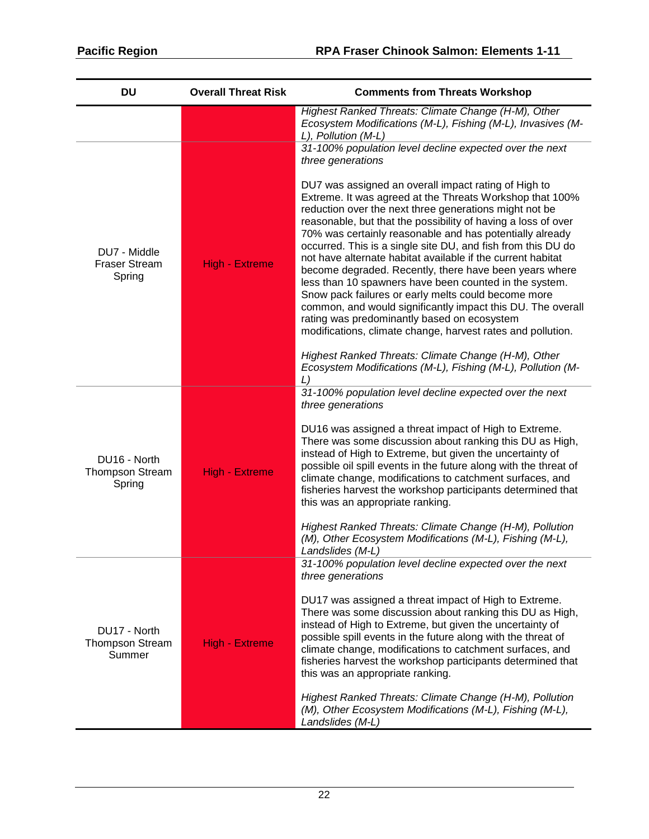| <b>DU</b>                                        | <b>Overall Threat Risk</b> | <b>Comments from Threats Workshop</b>                                                                                                                                                                                                                                                                                                                                                                                                                                                                                                                                                                                                                                                                                                                                                          |
|--------------------------------------------------|----------------------------|------------------------------------------------------------------------------------------------------------------------------------------------------------------------------------------------------------------------------------------------------------------------------------------------------------------------------------------------------------------------------------------------------------------------------------------------------------------------------------------------------------------------------------------------------------------------------------------------------------------------------------------------------------------------------------------------------------------------------------------------------------------------------------------------|
|                                                  |                            | Highest Ranked Threats: Climate Change (H-M), Other<br>Ecosystem Modifications (M-L), Fishing (M-L), Invasives (M-<br>L), Pollution (M-L)                                                                                                                                                                                                                                                                                                                                                                                                                                                                                                                                                                                                                                                      |
|                                                  |                            | 31-100% population level decline expected over the next<br>three generations                                                                                                                                                                                                                                                                                                                                                                                                                                                                                                                                                                                                                                                                                                                   |
| DU7 - Middle<br><b>Fraser Stream</b><br>Spring   | <b>High - Extreme</b>      | DU7 was assigned an overall impact rating of High to<br>Extreme. It was agreed at the Threats Workshop that 100%<br>reduction over the next three generations might not be<br>reasonable, but that the possibility of having a loss of over<br>70% was certainly reasonable and has potentially already<br>occurred. This is a single site DU, and fish from this DU do<br>not have alternate habitat available if the current habitat<br>become degraded. Recently, there have been years where<br>less than 10 spawners have been counted in the system.<br>Snow pack failures or early melts could become more<br>common, and would significantly impact this DU. The overall<br>rating was predominantly based on ecosystem<br>modifications, climate change, harvest rates and pollution. |
|                                                  |                            | Highest Ranked Threats: Climate Change (H-M), Other<br>Ecosystem Modifications (M-L), Fishing (M-L), Pollution (M-<br>L)                                                                                                                                                                                                                                                                                                                                                                                                                                                                                                                                                                                                                                                                       |
| DU16 - North<br><b>Thompson Stream</b><br>Spring | <b>High - Extreme</b>      | 31-100% population level decline expected over the next<br>three generations<br>DU16 was assigned a threat impact of High to Extreme.<br>There was some discussion about ranking this DU as High,<br>instead of High to Extreme, but given the uncertainty of<br>possible oil spill events in the future along with the threat of<br>climate change, modifications to catchment surfaces, and<br>fisheries harvest the workshop participants determined that<br>this was an appropriate ranking.<br>Highest Ranked Threats: Climate Change (H-M), Pollution                                                                                                                                                                                                                                    |
|                                                  |                            | (M), Other Ecosystem Modifications (M-L), Fishing (M-L),<br>Landslides (M-L)<br>31-100% population level decline expected over the next                                                                                                                                                                                                                                                                                                                                                                                                                                                                                                                                                                                                                                                        |
| DU17 - North<br><b>Thompson Stream</b><br>Summer | <b>High - Extreme</b>      | three generations<br>DU17 was assigned a threat impact of High to Extreme.<br>There was some discussion about ranking this DU as High,<br>instead of High to Extreme, but given the uncertainty of<br>possible spill events in the future along with the threat of<br>climate change, modifications to catchment surfaces, and<br>fisheries harvest the workshop participants determined that<br>this was an appropriate ranking.<br>Highest Ranked Threats: Climate Change (H-M), Pollution                                                                                                                                                                                                                                                                                                   |
|                                                  |                            | (M), Other Ecosystem Modifications (M-L), Fishing (M-L),<br>Landslides (M-L)                                                                                                                                                                                                                                                                                                                                                                                                                                                                                                                                                                                                                                                                                                                   |